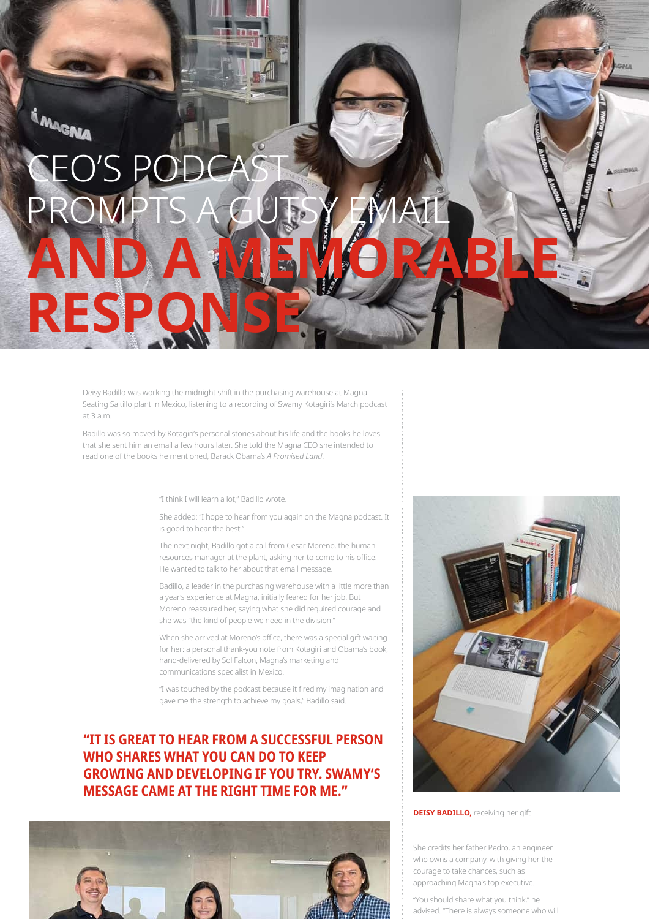## IN MAGNA **CEO'S PO RES**

Deisy Badillo was working the midnight shift in the purchasing warehouse at Magna Seating Saltillo plant in Mexico, listening to a recording of Swamy Kotagiri's March podcast at 3 a.m.

Badillo was so moved by Kotagiri's personal stories about his life and the books he loves that she sent him an email a few hours later. She told the Magna CEO she intended to read one of the books he mentioned, Barack Obama's A Promised Land.

"I think I will learn a lot," Badillo wrote.

She added: "I hope to hear from you again on the Magna podcast. It is good to hear the best."

The next night, Badillo got a call from Cesar Moreno, the human resources manager at the plant, asking her to come to his office. He wanted to talk to her about that email message.

Badillo, a leader in the purchasing warehouse with a little more than a year's experience at Magna, initially feared for her job. But Moreno reassured her, saying what she did required courage and she was "the kind of people we need in the division."

When she arrived at Moreno's office, there was a special gift waiting for her: a personal thank-you note from Kotagiri and Obama's book, hand-delivered by Sol Falcon, Magna's marketing and communications specialist in Mexico.

"I was touched by the podcast because it fired my imagination and gave me the strength to achieve my goals," Badillo said.

## "IT IS GREAT TO HEAR FROM A SUCCESSFUL PERSON **WHO SHARES WHAT YOU CAN DO TO KEEP GROWING AND DEVELOPING IF YOU TRY. SWAMY'S MESSAGE CAME AT THE RIGHT TIME FOR ME."**





**DEISY BADILLO, receiving her gift** 

She credits her father Pedro, an engineer who owns a company, with giving her the courage to take chances, such as approaching Magna's top executive.

"You should share what you think," he advised. "There is always someone who will